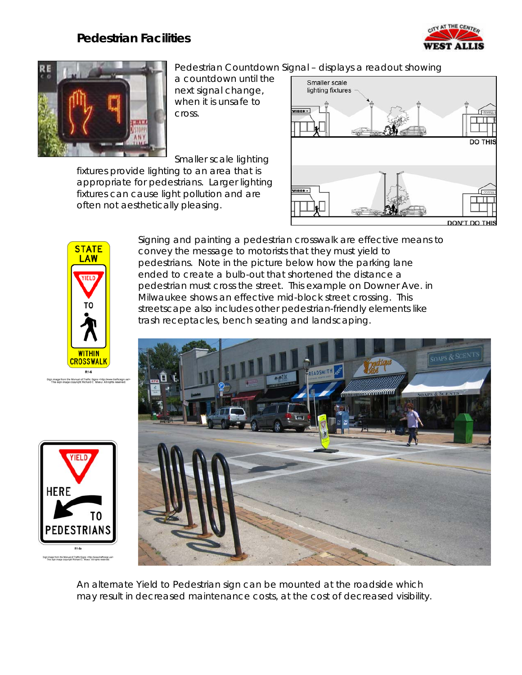## **Pedestrian Facilities**





Pedestrian Countdown Signal – displays a readout showing

a countdown until the next signal change, when it is unsafe to cross.

Smaller scale lighting

fixtures provide lighting to an area that is appropriate for pedestrians. Larger lighting fixtures can cause light pollution and are

often not aesthetically pleasing.





**HERE** 

ign image from the Manual of Traffic Signs -http://www.trafficsign.u.<br>This sign image copyright Richard C. Mosur, All rights reserved.

Signing and painting a pedestrian crosswalk are effective means to convey the message to motorists that they must yield to pedestrians. Note in the picture below how the parking lane ended to create a bulb-out that shortened the distance a pedestrian must cross the street. This example on Downer Ave. in Milwaukee shows an effective mid-block street crossing. This streetscape also includes other pedestrian-friendly elements like trash receptacles, bench seating and landscaping.



An alternate Yield to Pedestrian sign can be mounted at the roadside which may result in decreased maintenance costs, at the cost of decreased visibility.